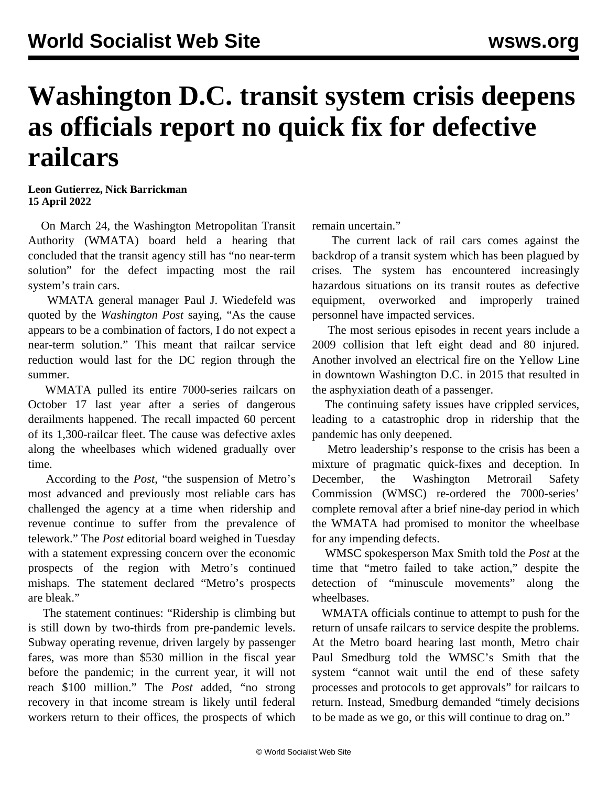## **Washington D.C. transit system crisis deepens as officials report no quick fix for defective railcars**

## **Leon Gutierrez, Nick Barrickman 15 April 2022**

 On March 24, the Washington Metropolitan Transit Authority (WMATA) board held a hearing that concluded that the transit agency still has "no near-term solution" for the defect impacting most the rail system's train cars.

 WMATA general manager Paul J. Wiedefeld was quoted by the *Washington Post* saying, "As the cause appears to be a combination of factors, I do not expect a near-term solution." This meant that railcar service reduction would last for the DC region through the summer.

 WMATA pulled its entire 7000-series railcars on October 17 last year after a series of dangerous derailments happened. The recall impacted 60 percent of its 1,300-railcar fleet. The cause was defective axles along the wheelbases which widened gradually over time.

 According to the *Post*, "the suspension of Metro's most advanced and previously most reliable cars has challenged the agency at a time when ridership and revenue continue to suffer from the prevalence of telework." The *Post* editorial board weighed in Tuesday with a statement expressing concern over the economic prospects of the region with Metro's continued mishaps. The statement declared "Metro's prospects are bleak."

 The statement continues: "Ridership is climbing but is still down by two-thirds from pre-pandemic levels. Subway operating revenue, driven largely by passenger fares, was more than \$530 million in the fiscal year before the pandemic; in the current year, it will not reach \$100 million." The *Post* added, "no strong recovery in that income stream is likely until federal workers return to their offices, the prospects of which remain uncertain."

 The current lack of rail cars comes against the backdrop of a transit system which has been plagued by crises. The system has encountered increasingly hazardous situations on its transit routes as defective equipment, overworked and improperly trained personnel have impacted services.

 The most serious episodes in recent years include a 2009 [collision](/en/articles/2009/06/rail-j24.html) that left eight dead and 80 injured. Another involved an electrical fire on the Yellow Line in downtown Washington D.C. in 2015 that [resulted](/en/articles/2015/01/14/metr-j14.html) in the asphyxiation death of a passenger.

 The continuing safety issues have crippled services, leading to a catastrophic drop in ridership that the pandemic has only deepened.

 Metro leadership's response to the crisis has been a mixture of pragmatic quick-fixes and deception. In December, the Washington Metrorail Safety Commission (WMSC) [re-ordered](/en/articles/2022/01/05/metr-j05.html) the 7000-series' complete removal after a brief nine-day period in which the WMATA had promised to monitor the wheelbase for any impending defects.

 WMSC spokesperson Max Smith told the *Post* at the time that "metro failed to take action," despite the detection of "minuscule movements" along the wheelbases.

 WMATA officials continue to attempt to push for the return of unsafe railcars to service despite the problems. At the Metro board hearing last month, Metro chair Paul Smedburg told the WMSC's Smith that the system "cannot wait until the end of these safety processes and protocols to get approvals" for railcars to return. Instead, Smedburg demanded "timely decisions to be made as we go, or this will continue to drag on."